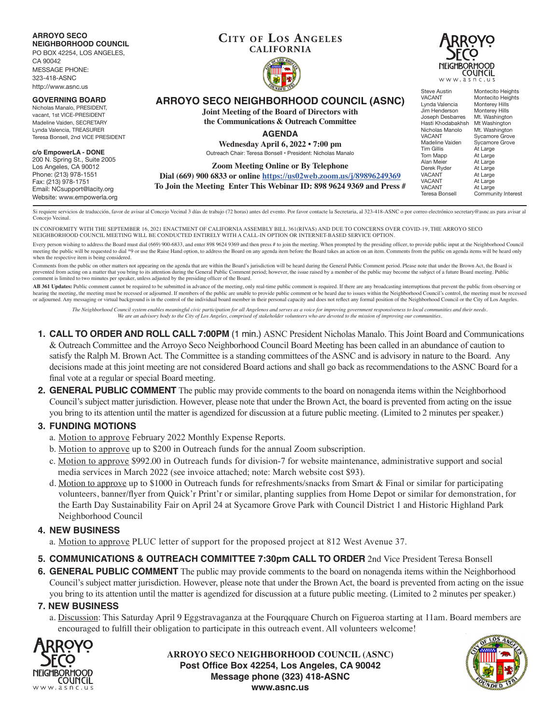#### **ARROYO SECO NEIGHBORHOOD COUNCIL**

PO BOX 42254, LOS ANGELES,

CA 90042 MESSAGE PHONE: 323-418-ASNC http://www.asnc.us

#### **GOVERNING BOARD**

Nicholas Manalo, PRESIDENT, vacant, 1st VICE-PRESIDENT Madeline Vaiden, SECRETARY Lynda Valencia, TREASURER Teresa Bonsell, 2nd VICE PRESIDENT

#### **c/o EmpowerLA - DONE**

200 N. Spring St., Suite 2005 Los Angeles, CA 90012 Phone: (213) 978-1551 Fax: (213) 978-1751 Email: NCsupport@lacity.org Website: www.empowerla.org

### **Cit y of Los Angeles CALIFORNIA**





# **ARROYO SECO NEIGHBORHOOD COUNCIL (ASNC)**

**Joint Meeting of the Board of Directors with the Communications & Outreach Committee**

**AGENDA**

**Wednesday April 6, 2022 • 7:00 pm** Outreach Chair: Teresa Bonsell • President: Nicholas Manalo

**Zoom Meeting Online or By Telephone**

**Dial (669) 900 6833 or online https://us02web.zoom.us/j/89896249369**

**To Join the Meeting Enter This Webinar ID: 898 9624 9369 and Press #**

Steve Austin Montecito Heights<br>
VACANT Montecito Heights Montecito Heights<br>Monterey Hills Lynda Valencia<br>
Unda Valencia<br>
Monterey Hills<br>
Monterey Hills Jim Henderson<br>Joseph Desbarres Mt. Washington<br>Mt Washington Hasti Khodabakhsh<br>Nicholas Manolo Nicholas Manolo Mt. Washington<br>VACANT Sycamore Grove VACANT Sycamore Grove<br>Madeline Vaiden Sycamore Grove Madeline Vaiden Sycamore Grove<br>Tim Gillis At Large At Large<br>At Large Tom Mapp<br>Alan Meier At Large<br>At Large Derek Ryder<br>VACANT VACANT At Large<br>VACANT At Large VACANT At Large<br>VACANT At Large

Community Interest

VACANT At Large<br>Teresa Bonsell Commun

Si requiere servicios de traducción, favor de avisar al Concejo Vecinal 3 días de trabajo (72 horas) antes del evento. Por favor contacte la Secretaria, al 323-418-ASNC o por correo electrónico secretary@asnc.us para avisa Concejo Vecinal.

IN CONFORMITY WITH THE SEPTEMBER 16, 2021 ENACTMENT OF CALIFORNIA ASSEMBLY BILL 361(RIVAS) AND DUE TO CONCERNS OVER COVID-19, THE ARROYO SECO NEIGHBORHOOD COUNCIL MEETING WILL BE CONDUCTED ENTIRELY WITH A CALL-IN OPTION OR INTERNET-BASED SERVICE OPTION.

Every person wishing to address the Board must dial (669) 900-6833, and enter 898 9624 9369 and then press # to join the meeting. When prompted by the presiding officer, to provide public input at the Neighborhood Council meeting the public will be requested to dial \*9 or use the Raise Hand option, to address the Board on any agenda item before the Board takes an action on an item. Comments from the public on agenda items will be heard only when the respective item is being considered.

Comments from the public on other matters not appearing on the agenda that are within the Board's jurisdiction will be heard during the General Public Comment period. Please note that under the Brown Act, the Board is prevented from acting on a matter that you bring to its attention during the General Public Comment period; however, the issue raised by a member of the public may become the subject of a future Board meeting. Public comment is limited to two minutes per speaker, unless adjusted by the presiding officer of the Board.

AB 361 Updates: Public comment cannot be required to be submitted in advance of the meeting, only real-time public comment is required. If there are any broadcasting interruptions that prevent the public from observing or hearing the meeting, the meeting must be recessed or adjourned. If members of the public are unable to provide public comment or be heard due to issues within the Neighborhood Council's control, the meeting must be recesse or adjourned. Any messaging or virtual background is in the control of the individual board member in their personal capacity and does not reflect any formal position of the Neighborhood Council or the City of Los Angeles.

*The Neighborhood Council system enables meaningful civic participation for all Angelenos and serves as a voice for improving government responsiveness to local communities and their needs. We are an advisory body to the City of Los Angeles, comprised of stakeholder volunteers who are devoted to the mission of improving our communities.*

- **1. CALL TO ORDER AND ROLL CALL 7:00PM** (1 min.) ASNC President Nicholas Manalo. This Joint Board and Communications & Outreach Committee and the Arroyo Seco Neighborhood Council Board Meeting has been called in an abundance of caution to satisfy the Ralph M. Brown Act. The Committee is a standing committees of the ASNC and is advisory in nature to the Board. Any decisions made at this joint meeting are not considered Board actions and shall go back as recommendations to the ASNC Board for a final vote at a regular or special Board meeting.
- **2. GENERAL PUBLIC COMMENT** The public may provide comments to the board on nonagenda items within the Neighborhood Council's subject matter jurisdiction. However, please note that under the Brown Act, the board is prevented from acting on the issue you bring to its attention until the matter is agendized for discussion at a future public meeting. (Limited to 2 minutes per speaker.)

# **3. FUNDING MOTIONS**

- a. Motion to approve February 2022 Monthly Expense Reports.
- b. Motion to approve up to \$200 in Outreach funds for the annual Zoom subscription.
- c. Motion to approve \$992.00 in Outreach funds for division-7 for website maintenance, administrative support and social media services in March 2022 (see invoice attached; note: March website cost \$93).
- d. Motion to approve up to \$1000 in Outreach funds for refreshments/snacks from Smart & Final or similar for participating volunteers, banner/flyer from Quick'r Print'r or similar, planting supplies from Home Depot or similar for demonstration, for the Earth Day Sustainability Fair on April 24 at Sycamore Grove Park with Council District 1 and Historic Highland Park Neighborhood Council

# **4. NEW BUSINESS**

- a. Motion to approve PLUC letter of support for the proposed project at 812 West Avenue 37.
- **5. COMMUNICATIONS & OUTREACH COMMITTEE 7:30pm CALL TO ORDER** 2nd Vice President Teresa Bonsell
- **6. GENERAL PUBLIC COMMENT** The public may provide comments to the board on nonagenda items within the Neighborhood Council's subject matter jurisdiction. However, please note that under the Brown Act, the board is prevented from acting on the issue you bring to its attention until the matter is agendized for discussion at a future public meeting. (Limited to 2 minutes per speaker.)

# **7. NEW BUSINESS**

a. Discussion: This Saturday April 9 Eggstravaganza at the Fourqquare Church on Figueroa starting at 11am. Board members are encouraged to fulfill their obligation to participate in this outreach event. All volunteers welcome!



**ARROYO SECO NEIGHBORHOOD COUNCIL (ASNC) Post Office Box 42254, Los Angeles, CA 90042 Message phone (323) 418-ASNC www.asnc.us**